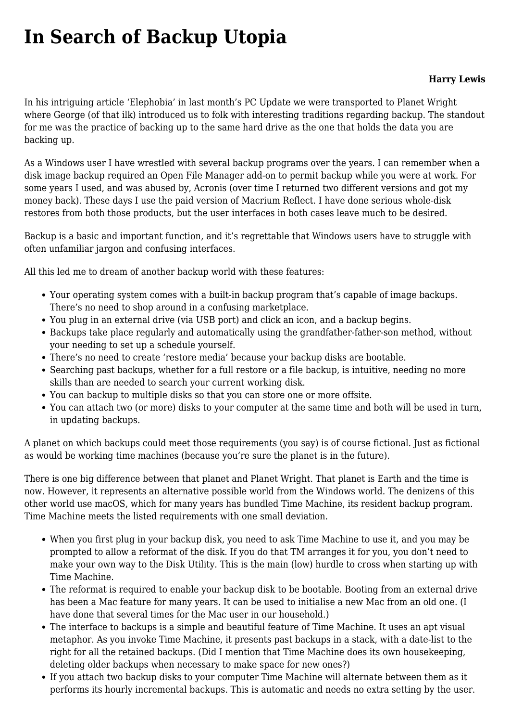## **[In Search of Backup Utopia](https://www.melbpc.org.au/in-search-of-backup-utopia/)**

## **Harry Lewis**

In his intriguing article 'Elephobia' in last month's PC Update we were transported to Planet Wright where George (of that ilk) introduced us to folk with interesting traditions regarding backup. The standout for me was the practice of backing up to the same hard drive as the one that holds the data you are backing up.

As a Windows user I have wrestled with several backup programs over the years. I can remember when a disk image backup required an Open File Manager add-on to permit backup while you were at work. For some years I used, and was abused by, Acronis (over time I returned two different versions and got my money back). These days I use the paid version of Macrium Reflect. I have done serious whole-disk restores from both those products, but the user interfaces in both cases leave much to be desired.

Backup is a basic and important function, and it's regrettable that Windows users have to struggle with often unfamiliar jargon and confusing interfaces.

All this led me to dream of another backup world with these features:

- Your operating system comes with a built-in backup program that's capable of image backups. There's no need to shop around in a confusing marketplace.
- You plug in an external drive (via USB port) and click an icon, and a backup begins.
- Backups take place regularly and automatically using the grandfather-father-son method, without your needing to set up a schedule yourself.
- There's no need to create 'restore media' because your backup disks are bootable.
- Searching past backups, whether for a full restore or a file backup, is intuitive, needing no more skills than are needed to search your current working disk.
- You can backup to multiple disks so that you can store one or more offsite.
- You can attach two (or more) disks to your computer at the same time and both will be used in turn, in updating backups.

A planet on which backups could meet those requirements (you say) is of course fictional. Just as fictional as would be working time machines (because you're sure the planet is in the future).

There is one big difference between that planet and Planet Wright. That planet is Earth and the time is now. However, it represents an alternative possible world from the Windows world. The denizens of this other world use macOS, which for many years has bundled Time Machine, its resident backup program. Time Machine meets the listed requirements with one small deviation.

- When you first plug in your backup disk, you need to ask Time Machine to use it, and you may be prompted to allow a reformat of the disk. If you do that TM arranges it for you, you don't need to make your own way to the Disk Utility. This is the main (low) hurdle to cross when starting up with Time Machine.
- The reformat is required to enable your backup disk to be bootable. Booting from an external drive has been a Mac feature for many years. It can be used to initialise a new Mac from an old one. (I have done that several times for the Mac user in our household.)
- The interface to backups is a simple and beautiful feature of Time Machine. It uses an apt visual metaphor. As you invoke Time Machine, it presents past backups in a stack, with a date-list to the right for all the retained backups. (Did I mention that Time Machine does its own housekeeping, deleting older backups when necessary to make space for new ones?)
- If you attach two backup disks to your computer Time Machine will alternate between them as it performs its hourly incremental backups. This is automatic and needs no extra setting by the user.